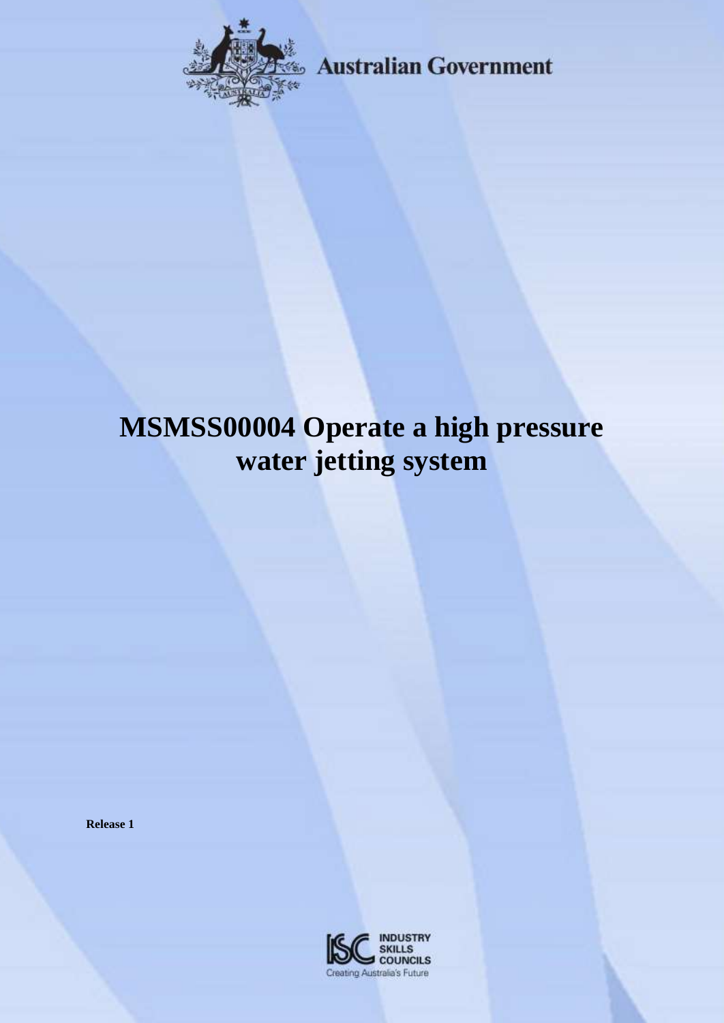

**Australian Government** 

# **MSMSS00004 Operate a high pressure water jetting system**

**Release 1**

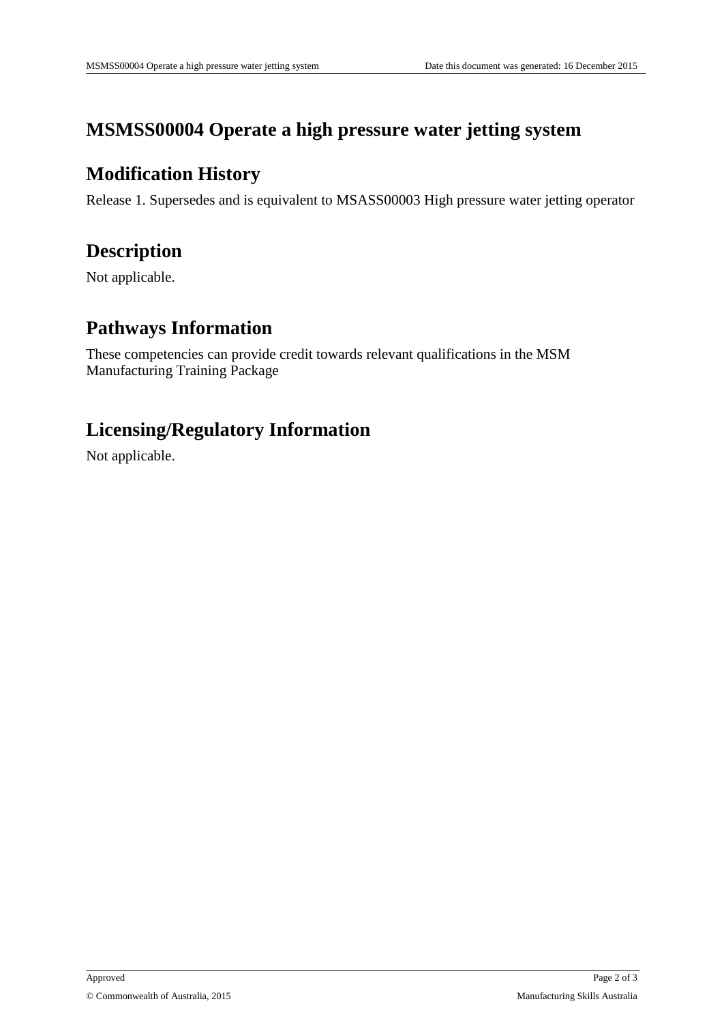## **MSMSS00004 Operate a high pressure water jetting system**

#### **Modification History**

Release 1. Supersedes and is equivalent to MSASS00003 High pressure water jetting operator

## **Description**

Not applicable.

## **Pathways Information**

These competencies can provide credit towards relevant qualifications in the MSM Manufacturing Training Package

## **Licensing/Regulatory Information**

Not applicable.